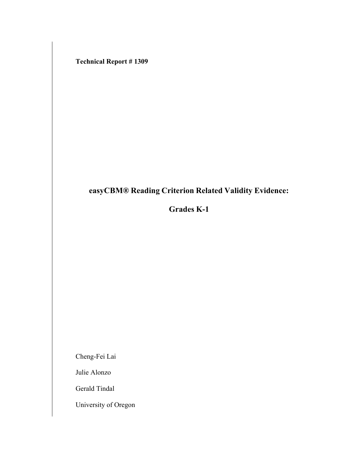**Technical Report # 1309**

# **easyCBM® Reading Criterion Related Validity Evidence:**

# **Grades K-1**

Cheng-Fei Lai

Julie Alonzo

Gerald Tindal

University of Oregon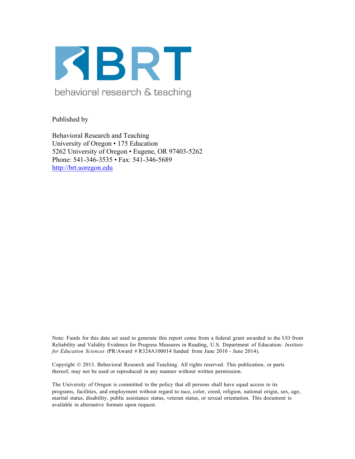

behavioral research & teaching

Published by

Behavioral Research and Teaching University of Oregon • 175 Education 5262 University of Oregon • Eugene, OR 97403-5262 Phone: 541-346-3535 • Fax: 541-346-5689 http://brt.uoregon.edu

Note: Funds for this data set used to generate this report come from a federal grant awarded to the UO from Reliability and Validity Evidence for Progress Measures in Reading, U.S. Department of Education: *Institute for Education Sciences (*PR/Award # R324A100014 funded from June 2010 - June 2014).

Copyright © 2013. Behavioral Research and Teaching. All rights reserved. This publication, or parts thereof, may not be used or reproduced in any manner without written permission.

The University of Oregon is committed to the policy that all persons shall have equal access to its programs, facilities, and employment without regard to race, color, creed, religion, national origin, sex, age, marital status, disability, public assistance status, veteran status, or sexual orientation. This document is available in alternative formats upon request.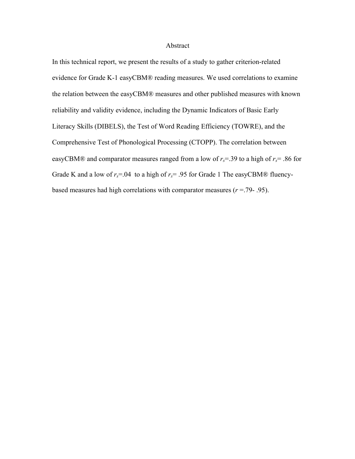## Abstract

In this technical report, we present the results of a study to gather criterion-related evidence for Grade K-1 easyCBM® reading measures. We used correlations to examine the relation between the easyCBM® measures and other published measures with known reliability and validity evidence, including the Dynamic Indicators of Basic Early Literacy Skills (DIBELS), the Test of Word Reading Efficiency (TOWRE), and the Comprehensive Test of Phonological Processing (CTOPP). The correlation between easyCBM® and comparator measures ranged from a low of  $r_s$ =.39 to a high of  $r_s$ =.86 for Grade K and a low of  $r_s$ =.04 to a high of  $r_s$ = .95 for Grade 1 The easyCBM® fluencybased measures had high correlations with comparator measures (*r* =.79- .95).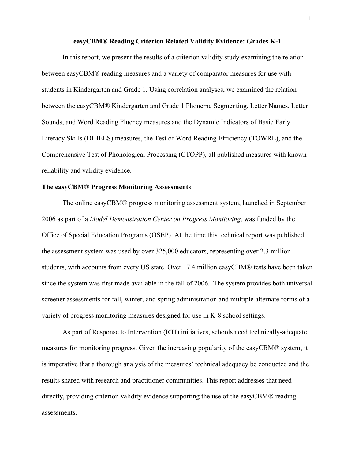#### **easyCBM® Reading Criterion Related Validity Evidence: Grades K-1**

In this report, we present the results of a criterion validity study examining the relation between easyCBM® reading measures and a variety of comparator measures for use with students in Kindergarten and Grade 1. Using correlation analyses, we examined the relation between the easyCBM® Kindergarten and Grade 1 Phoneme Segmenting, Letter Names, Letter Sounds, and Word Reading Fluency measures and the Dynamic Indicators of Basic Early Literacy Skills (DIBELS) measures, the Test of Word Reading Efficiency (TOWRE), and the Comprehensive Test of Phonological Processing (CTOPP), all published measures with known reliability and validity evidence.

## **The easyCBM® Progress Monitoring Assessments**

The online easyCBM® progress monitoring assessment system, launched in September 2006 as part of a *Model Demonstration Center on Progress Monitoring*, was funded by the Office of Special Education Programs (OSEP). At the time this technical report was published, the assessment system was used by over 325,000 educators, representing over 2.3 million students, with accounts from every US state. Over 17.4 million easyCBM® tests have been taken since the system was first made available in the fall of 2006. The system provides both universal screener assessments for fall, winter, and spring administration and multiple alternate forms of a variety of progress monitoring measures designed for use in K-8 school settings.

As part of Response to Intervention (RTI) initiatives, schools need technically-adequate measures for monitoring progress. Given the increasing popularity of the easyCBM® system, it is imperative that a thorough analysis of the measures' technical adequacy be conducted and the results shared with research and practitioner communities. This report addresses that need directly, providing criterion validity evidence supporting the use of the easyCBM® reading assessments.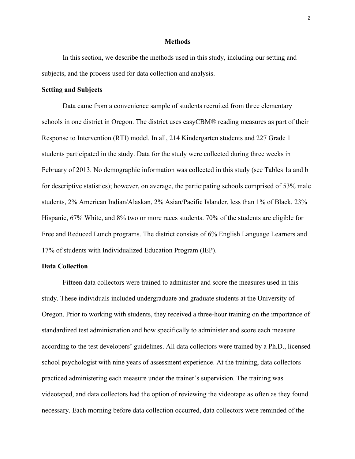#### **Methods**

In this section, we describe the methods used in this study, including our setting and subjects, and the process used for data collection and analysis.

# **Setting and Subjects**

Data came from a convenience sample of students recruited from three elementary schools in one district in Oregon. The district uses easyCBM® reading measures as part of their Response to Intervention (RTI) model. In all, 214 Kindergarten students and 227 Grade 1 students participated in the study. Data for the study were collected during three weeks in February of 2013. No demographic information was collected in this study (see Tables 1a and b for descriptive statistics); however, on average, the participating schools comprised of 53% male students, 2% American Indian/Alaskan, 2% Asian/Pacific Islander, less than 1% of Black, 23% Hispanic, 67% White, and 8% two or more races students. 70% of the students are eligible for Free and Reduced Lunch programs. The district consists of 6% English Language Learners and 17% of students with Individualized Education Program (IEP).

## **Data Collection**

Fifteen data collectors were trained to administer and score the measures used in this study. These individuals included undergraduate and graduate students at the University of Oregon. Prior to working with students, they received a three-hour training on the importance of standardized test administration and how specifically to administer and score each measure according to the test developers' guidelines. All data collectors were trained by a Ph.D., licensed school psychologist with nine years of assessment experience. At the training, data collectors practiced administering each measure under the trainer's supervision. The training was videotaped, and data collectors had the option of reviewing the videotape as often as they found necessary. Each morning before data collection occurred, data collectors were reminded of the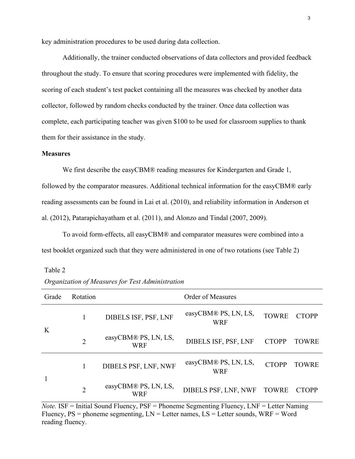key administration procedures to be used during data collection.

Additionally, the trainer conducted observations of data collectors and provided feedback throughout the study. To ensure that scoring procedures were implemented with fidelity, the scoring of each student's test packet containing all the measures was checked by another data collector, followed by random checks conducted by the trainer. Once data collection was complete, each participating teacher was given \$100 to be used for classroom supplies to thank them for their assistance in the study.

# **Measures**

We first describe the easyCBM® reading measures for Kindergarten and Grade 1, followed by the comparator measures. Additional technical information for the easyCBM® early reading assessments can be found in Lai et al. (2010), and reliability information in Anderson et al. (2012), Patarapichayatham et al. (2011), and Alonzo and Tindal (2007, 2009).

To avoid form-effects, all easyCBM® and comparator measures were combined into a test booklet organized such that they were administered in one of two rotations (see Table 2)

Table 2

*Organization of Measures for Test Administration*

| Grade | Rotation       |                                    | <b>Order of Measures</b>           |              |              |
|-------|----------------|------------------------------------|------------------------------------|--------------|--------------|
| K     |                | DIBELS ISF, PSF, LNF               | easyCBM® PS, LN, LS,<br><b>WRF</b> | <b>TOWRE</b> | <b>CTOPP</b> |
|       | $\overline{2}$ | easyCBM® PS, LN, LS,<br><b>WRF</b> | DIBELS ISF, PSF, LNF               | <b>CTOPP</b> | <b>TOWRE</b> |
|       |                | DIBELS PSF, LNF, NWF               | easyCBM® PS, LN, LS,<br><b>WRF</b> | <b>CTOPP</b> | <b>TOWRE</b> |
|       | $\overline{2}$ | easyCBM® PS, LN, LS,<br>WRF        | DIBELS PSF, LNF, NWF TOWRE         |              | <b>CTOPP</b> |

*Note.* **ISF** = Initial Sound Fluency,  $PSF =$  Phoneme Segmenting Fluency, LNF = Letter Naming Fluency,  $PS =$  phoneme segmenting,  $LN =$  Letter names,  $LS =$  Letter sounds,  $WRF =$  Word reading fluency.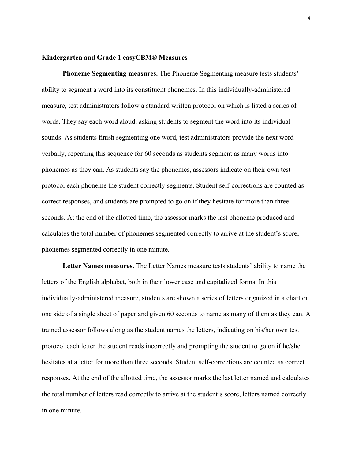# **Kindergarten and Grade 1 easyCBM® Measures**

**Phoneme Segmenting measures.** The Phoneme Segmenting measure tests students' ability to segment a word into its constituent phonemes. In this individually-administered measure, test administrators follow a standard written protocol on which is listed a series of words. They say each word aloud, asking students to segment the word into its individual sounds. As students finish segmenting one word, test administrators provide the next word verbally, repeating this sequence for 60 seconds as students segment as many words into phonemes as they can. As students say the phonemes, assessors indicate on their own test protocol each phoneme the student correctly segments. Student self-corrections are counted as correct responses, and students are prompted to go on if they hesitate for more than three seconds. At the end of the allotted time, the assessor marks the last phoneme produced and calculates the total number of phonemes segmented correctly to arrive at the student's score, phonemes segmented correctly in one minute.

**Letter Names measures.** The Letter Names measure tests students' ability to name the letters of the English alphabet, both in their lower case and capitalized forms. In this individually-administered measure, students are shown a series of letters organized in a chart on one side of a single sheet of paper and given 60 seconds to name as many of them as they can. A trained assessor follows along as the student names the letters, indicating on his/her own test protocol each letter the student reads incorrectly and prompting the student to go on if he/she hesitates at a letter for more than three seconds. Student self-corrections are counted as correct responses. At the end of the allotted time, the assessor marks the last letter named and calculates the total number of letters read correctly to arrive at the student's score, letters named correctly in one minute.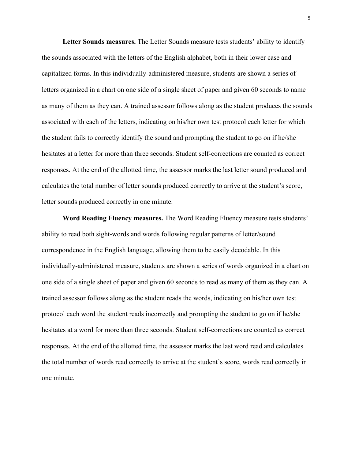**Letter Sounds measures.** The Letter Sounds measure tests students' ability to identify the sounds associated with the letters of the English alphabet, both in their lower case and capitalized forms. In this individually-administered measure, students are shown a series of letters organized in a chart on one side of a single sheet of paper and given 60 seconds to name as many of them as they can. A trained assessor follows along as the student produces the sounds associated with each of the letters, indicating on his/her own test protocol each letter for which the student fails to correctly identify the sound and prompting the student to go on if he/she hesitates at a letter for more than three seconds. Student self-corrections are counted as correct responses. At the end of the allotted time, the assessor marks the last letter sound produced and calculates the total number of letter sounds produced correctly to arrive at the student's score, letter sounds produced correctly in one minute.

**Word Reading Fluency measures.** The Word Reading Fluency measure tests students' ability to read both sight-words and words following regular patterns of letter/sound correspondence in the English language, allowing them to be easily decodable. In this individually-administered measure, students are shown a series of words organized in a chart on one side of a single sheet of paper and given 60 seconds to read as many of them as they can. A trained assessor follows along as the student reads the words, indicating on his/her own test protocol each word the student reads incorrectly and prompting the student to go on if he/she hesitates at a word for more than three seconds. Student self-corrections are counted as correct responses. At the end of the allotted time, the assessor marks the last word read and calculates the total number of words read correctly to arrive at the student's score, words read correctly in one minute.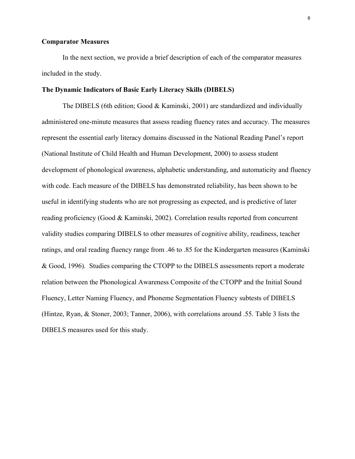## **Comparator Measures**

In the next section, we provide a brief description of each of the comparator measures included in the study.

## **The Dynamic Indicators of Basic Early Literacy Skills (DIBELS)**

The DIBELS (6th edition; Good & Kaminski, 2001) are standardized and individually administered one-minute measures that assess reading fluency rates and accuracy. The measures represent the essential early literacy domains discussed in the National Reading Panel's report (National Institute of Child Health and Human Development, 2000) to assess student development of phonological awareness, alphabetic understanding, and automaticity and fluency with code. Each measure of the DIBELS has demonstrated reliability, has been shown to be useful in identifying students who are not progressing as expected, and is predictive of later reading proficiency (Good & Kaminski, 2002). Correlation results reported from concurrent validity studies comparing DIBELS to other measures of cognitive ability, readiness, teacher ratings, and oral reading fluency range from .46 to .85 for the Kindergarten measures (Kaminski & Good, 1996). Studies comparing the CTOPP to the DIBELS assessments report a moderate relation between the Phonological Awareness Composite of the CTOPP and the Initial Sound Fluency, Letter Naming Fluency, and Phoneme Segmentation Fluency subtests of DIBELS (Hintze, Ryan, & Stoner, 2003; Tanner, 2006), with correlations around .55. Table 3 lists the DIBELS measures used for this study.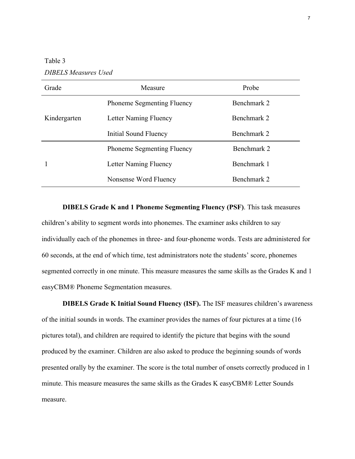Table 3 *DIBELS Measures Used*

| Grade        | Measure                           | Probe       |
|--------------|-----------------------------------|-------------|
|              | <b>Phoneme Segmenting Fluency</b> | Benchmark 2 |
| Kindergarten | Letter Naming Fluency             | Benchmark 2 |
|              | Initial Sound Fluency             | Benchmark 2 |
|              | <b>Phoneme Segmenting Fluency</b> | Benchmark 2 |
|              | Letter Naming Fluency             | Benchmark 1 |
|              | Nonsense Word Fluency             | Benchmark 2 |

**DIBELS Grade K and 1 Phoneme Segmenting Fluency (PSF)**. This task measures children's ability to segment words into phonemes. The examiner asks children to say individually each of the phonemes in three- and four-phoneme words. Tests are administered for 60 seconds, at the end of which time, test administrators note the students' score, phonemes segmented correctly in one minute. This measure measures the same skills as the Grades K and 1 easyCBM® Phoneme Segmentation measures.

**DIBELS Grade K Initial Sound Fluency (ISF).** The ISF measures children's awareness of the initial sounds in words. The examiner provides the names of four pictures at a time (16 pictures total), and children are required to identify the picture that begins with the sound produced by the examiner. Children are also asked to produce the beginning sounds of words presented orally by the examiner. The score is the total number of onsets correctly produced in 1 minute. This measure measures the same skills as the Grades K easyCBM® Letter Sounds measure.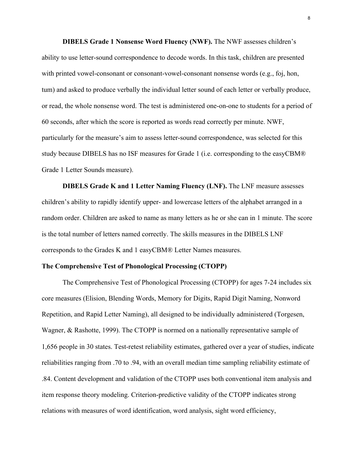**DIBELS Grade 1 Nonsense Word Fluency (NWF).** The NWF assesses children's ability to use letter-sound correspondence to decode words. In this task, children are presented with printed vowel-consonant or consonant-vowel-consonant nonsense words (e.g., foj, hon, tum) and asked to produce verbally the individual letter sound of each letter or verbally produce, or read, the whole nonsense word. The test is administered one-on-one to students for a period of 60 seconds, after which the score is reported as words read correctly per minute. NWF, particularly for the measure's aim to assess letter-sound correspondence, was selected for this study because DIBELS has no ISF measures for Grade 1 (i.e. corresponding to the easyCBM® Grade 1 Letter Sounds measure).

**DIBELS Grade K and 1 Letter Naming Fluency (LNF).** The LNF measure assesses children's ability to rapidly identify upper- and lowercase letters of the alphabet arranged in a random order. Children are asked to name as many letters as he or she can in 1 minute. The score is the total number of letters named correctly. The skills measures in the DIBELS LNF corresponds to the Grades K and 1 easyCBM® Letter Names measures.

## **The Comprehensive Test of Phonological Processing (CTOPP)**

The Comprehensive Test of Phonological Processing (CTOPP) for ages 7-24 includes six core measures (Elision, Blending Words, Memory for Digits, Rapid Digit Naming, Nonword Repetition, and Rapid Letter Naming), all designed to be individually administered (Torgesen, Wagner, & Rashotte, 1999). The CTOPP is normed on a nationally representative sample of 1,656 people in 30 states. Test-retest reliability estimates, gathered over a year of studies, indicate reliabilities ranging from .70 to .94, with an overall median time sampling reliability estimate of .84. Content development and validation of the CTOPP uses both conventional item analysis and item response theory modeling. Criterion-predictive validity of the CTOPP indicates strong relations with measures of word identification, word analysis, sight word efficiency,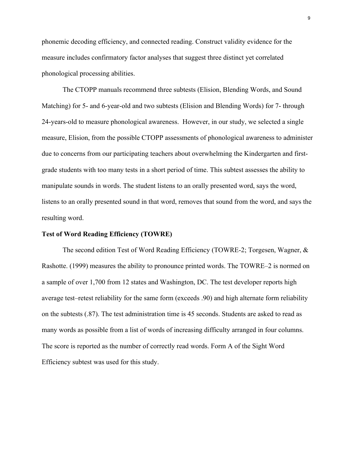phonemic decoding efficiency, and connected reading. Construct validity evidence for the measure includes confirmatory factor analyses that suggest three distinct yet correlated phonological processing abilities.

The CTOPP manuals recommend three subtests (Elision, Blending Words, and Sound Matching) for 5- and 6-year-old and two subtests (Elision and Blending Words) for 7- through 24-years-old to measure phonological awareness. However, in our study, we selected a single measure, Elision, from the possible CTOPP assessments of phonological awareness to administer due to concerns from our participating teachers about overwhelming the Kindergarten and firstgrade students with too many tests in a short period of time. This subtest assesses the ability to manipulate sounds in words. The student listens to an orally presented word, says the word, listens to an orally presented sound in that word, removes that sound from the word, and says the resulting word.

# **Test of Word Reading Efficiency (TOWRE)**

The second edition Test of Word Reading Efficiency (TOWRE-2; Torgesen, Wagner, & Rashotte. (1999) measures the ability to pronounce printed words. The TOWRE–2 is normed on a sample of over 1,700 from 12 states and Washington, DC. The test developer reports high average test–retest reliability for the same form (exceeds .90) and high alternate form reliability on the subtests (.87). The test administration time is 45 seconds. Students are asked to read as many words as possible from a list of words of increasing difficulty arranged in four columns. The score is reported as the number of correctly read words. Form A of the Sight Word Efficiency subtest was used for this study.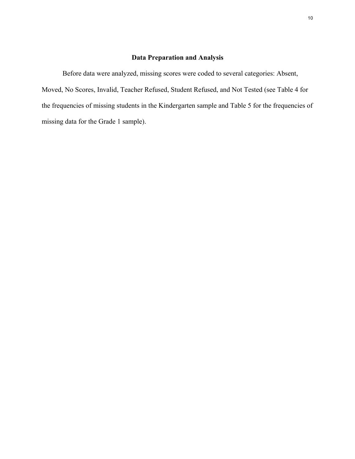# **Data Preparation and Analysis**

Before data were analyzed, missing scores were coded to several categories: Absent, Moved, No Scores, Invalid, Teacher Refused, Student Refused, and Not Tested (see Table 4 for the frequencies of missing students in the Kindergarten sample and Table 5 for the frequencies of missing data for the Grade 1 sample).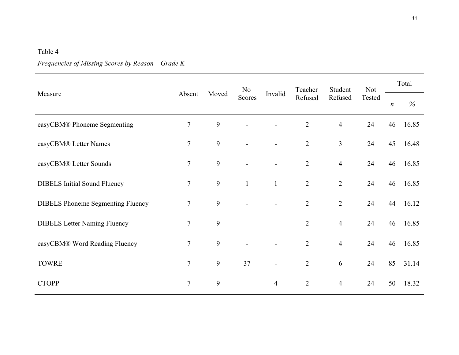# Table 4

# *Frequencies of Missing Scores by Reason – Grade K*

|                                          |                 |       | N <sub>o</sub> | Invalid        | Teacher<br>Refused | Student<br>Refused | <b>Not</b><br>Tested | Total            |       |  |
|------------------------------------------|-----------------|-------|----------------|----------------|--------------------|--------------------|----------------------|------------------|-------|--|
| Measure                                  | Absent          | Moved | Scores         |                |                    |                    |                      | $\boldsymbol{n}$ | $\%$  |  |
| easyCBM® Phoneme Segmenting              | 7               | 9     |                |                | $\overline{2}$     | $\overline{4}$     | 24                   | 46               | 16.85 |  |
| easyCBM® Letter Names                    | $\overline{7}$  | 9     |                |                | $\overline{2}$     | $\overline{3}$     | 24                   | 45               | 16.48 |  |
| easyCBM® Letter Sounds                   | $\overline{7}$  | 9     |                |                | $\overline{2}$     | $\overline{4}$     | 24                   | 46               | 16.85 |  |
| <b>DIBELS</b> Initial Sound Fluency      | $7\phantom{.0}$ | 9     | $\mathbf{1}$   | $\mathbf{1}$   | $\overline{2}$     | $\overline{2}$     | 24                   | 46               | 16.85 |  |
| <b>DIBELS</b> Phoneme Segmenting Fluency | 7               | 9     |                |                | $\overline{2}$     | $\overline{2}$     | 24                   | 44               | 16.12 |  |
| <b>DIBELS Letter Naming Fluency</b>      | $\overline{7}$  | 9     |                |                | $\overline{2}$     | $\overline{4}$     | 24                   | 46               | 16.85 |  |
| easyCBM® Word Reading Fluency            | $\overline{7}$  | 9     |                |                | $\overline{2}$     | $\overline{4}$     | 24                   | 46               | 16.85 |  |
| <b>TOWRE</b>                             | $\tau$          | 9     | 37             | $\blacksquare$ | $\overline{2}$     | 6                  | 24                   | 85               | 31.14 |  |
| <b>CTOPP</b>                             | $\overline{7}$  | 9     |                | $\overline{4}$ | $\overline{2}$     | $\overline{4}$     | 24                   | 50               | 18.32 |  |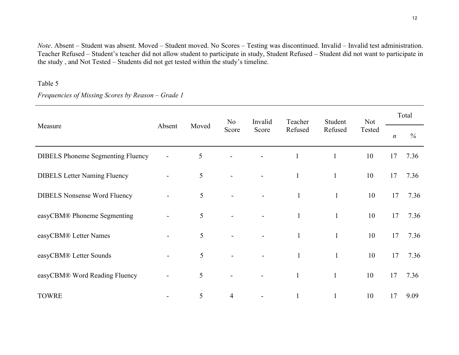*Note*. Absent – Student was absent. Moved – Student moved. No Scores – Testing was discontinued. Invalid – Invalid test administration. Teacher Refused – Student's teacher did not allow student to participate in study, Student Refused – Student did not want to participate in the study , and Not Tested – Students did not get tested within the study's timeline.

# Table 5

*Frequencies of Missing Scores by Reason – Grade 1*

|                                          |                          |       | N <sub>o</sub> | Invalid | Teacher      | Student      | <b>Not</b> | Total            |               |  |
|------------------------------------------|--------------------------|-------|----------------|---------|--------------|--------------|------------|------------------|---------------|--|
| Measure                                  | Absent                   | Moved | Score          | Score   | Refused      | Refused      | Tested     | $\boldsymbol{n}$ | $\frac{0}{0}$ |  |
| <b>DIBELS</b> Phoneme Segmenting Fluency |                          | 5     |                |         | $\mathbf{1}$ | $\mathbf{1}$ | 10         | 17               | 7.36          |  |
| <b>DIBELS</b> Letter Naming Fluency      | $\overline{\phantom{a}}$ | 5     |                |         | $\mathbf{1}$ | $\mathbf{1}$ | 10         | 17               | 7.36          |  |
| <b>DIBELS Nonsense Word Fluency</b>      |                          | 5     |                |         | $\mathbf{1}$ | $\mathbf{1}$ | 10         | 17               | 7.36          |  |
| easyCBM® Phoneme Segmenting              |                          | 5     |                |         | $\mathbf{1}$ | $\mathbf{1}$ | 10         | 17               | 7.36          |  |
| easyCBM® Letter Names                    |                          | 5     |                |         | $\mathbf{1}$ | $\mathbf{1}$ | 10         | 17               | 7.36          |  |
| easyCBM® Letter Sounds                   | $\overline{a}$           | 5     |                |         | $\mathbf{1}$ | $\mathbf{1}$ | 10         | 17               | 7.36          |  |
| easyCBM® Word Reading Fluency            |                          | 5     |                |         | $\mathbf{1}$ | $\mathbf{1}$ | 10         | 17               | 7.36          |  |
| <b>TOWRE</b>                             |                          | 5     | $\overline{4}$ |         | $\mathbf{1}$ | $\mathbf{1}$ | 10         | 17               | 9.09          |  |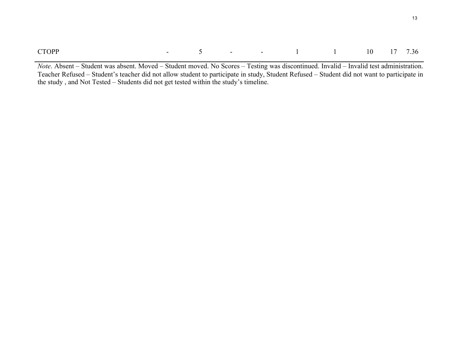| <b>CTOPP</b> |  |  |  |  | $-5$ $-1$ $1$ $10$ $17$ $7.36$ |  |  |  |  |
|--------------|--|--|--|--|--------------------------------|--|--|--|--|
|--------------|--|--|--|--|--------------------------------|--|--|--|--|

*Note*. Absent – Student was absent. Moved – Student moved. No Scores – Testing was discontinued. Invalid – Invalid test administration. Teacher Refused – Student's teacher did not allow student to participate in study, Student Refused – Student did not want to participate in the study , and Not Tested – Students did not get tested within the study's timeline.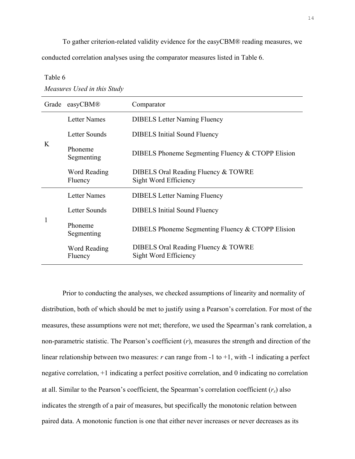To gather criterion-related validity evidence for the easyCBM® reading measures, we conducted correlation analyses using the comparator measures listed in Table 6.

Table 6

*Measures Used in this Study*

| Grade | easyCBM®                | Comparator                                                   |  |  |  |
|-------|-------------------------|--------------------------------------------------------------|--|--|--|
|       | <b>Letter Names</b>     | <b>DIBELS</b> Letter Naming Fluency                          |  |  |  |
|       | Letter Sounds           | <b>DIBELS</b> Initial Sound Fluency                          |  |  |  |
| K     | Phoneme<br>Segmenting   | DIBELS Phoneme Segmenting Fluency & CTOPP Elision            |  |  |  |
|       | Word Reading<br>Fluency | DIBELS Oral Reading Fluency & TOWRE<br>Sight Word Efficiency |  |  |  |
|       | <b>Letter Names</b>     | <b>DIBELS</b> Letter Naming Fluency                          |  |  |  |
|       | <b>Letter Sounds</b>    | <b>DIBELS</b> Initial Sound Fluency                          |  |  |  |
|       | Phoneme<br>Segmenting   | DIBELS Phoneme Segmenting Fluency & CTOPP Elision            |  |  |  |
|       | Word Reading<br>Fluency | DIBELS Oral Reading Fluency & TOWRE<br>Sight Word Efficiency |  |  |  |

Prior to conducting the analyses, we checked assumptions of linearity and normality of distribution, both of which should be met to justify using a Pearson's correlation. For most of the measures, these assumptions were not met; therefore, we used the Spearman's rank correlation, a non-parametric statistic. The Pearson's coefficient (*r*), measures the strength and direction of the linear relationship between two measures: *r* can range from -1 to +1, with -1 indicating a perfect negative correlation, +1 indicating a perfect positive correlation, and 0 indicating no correlation at all. Similar to the Pearson's coefficient, the Spearman's correlation coefficient (*rs*) also indicates the strength of a pair of measures, but specifically the monotonic relation between paired data. A monotonic function is one that either never increases or never decreases as its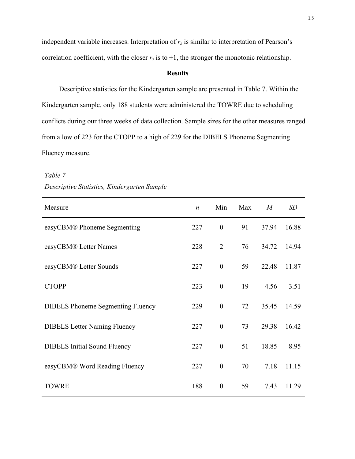independent variable increases. Interpretation of  $r<sub>s</sub>$  is similar to interpretation of Pearson's correlation coefficient, with the closer  $r_s$  is to  $\pm 1$ , the stronger the monotonic relationship.

## **Results**

Descriptive statistics for the Kindergarten sample are presented in Table 7. Within the Kindergarten sample, only 188 students were administered the TOWRE due to scheduling conflicts during our three weeks of data collection. Sample sizes for the other measures ranged from a low of 223 for the CTOPP to a high of 229 for the DIBELS Phoneme Segmenting Fluency measure.

| Measure                                  | $\boldsymbol{n}$ | Min              | Max | M     | SD    |
|------------------------------------------|------------------|------------------|-----|-------|-------|
| easyCBM® Phoneme Segmenting              | 227              | $\boldsymbol{0}$ | 91  | 37.94 | 16.88 |
| easyCBM® Letter Names                    | 228              | $\overline{2}$   | 76  | 34.72 | 14.94 |
| easyCBM® Letter Sounds                   | 227              | $\boldsymbol{0}$ | 59  | 22.48 | 11.87 |
| <b>CTOPP</b>                             | 223              | $\boldsymbol{0}$ | 19  | 4.56  | 3.51  |
| <b>DIBELS</b> Phoneme Segmenting Fluency | 229              | $\boldsymbol{0}$ | 72  | 35.45 | 14.59 |
| <b>DIBELS Letter Naming Fluency</b>      | 227              | $\boldsymbol{0}$ | 73  | 29.38 | 16.42 |
| <b>DIBELS</b> Initial Sound Fluency      | 227              | $\boldsymbol{0}$ | 51  | 18.85 | 8.95  |
| easyCBM® Word Reading Fluency            | 227              | $\boldsymbol{0}$ | 70  | 7.18  | 11.15 |
| <b>TOWRE</b>                             | 188              | $\boldsymbol{0}$ | 59  | 7.43  | 11.29 |

*Table 7 Descriptive Statistics, Kindergarten Sample*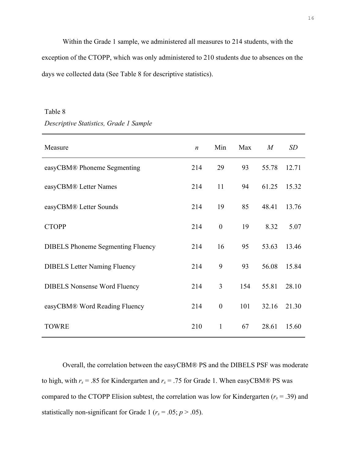Within the Grade 1 sample, we administered all measures to 214 students, with the exception of the CTOPP, which was only administered to 210 students due to absences on the days we collected data (See Table 8 for descriptive statistics).

## Table 8

### *Descriptive Statistics, Grade 1 Sample*

| Measure                                  | $\boldsymbol{n}$ | Min              | Max | M     | <b>SD</b> |
|------------------------------------------|------------------|------------------|-----|-------|-----------|
| easyCBM® Phoneme Segmenting              | 214              | 29               | 93  | 55.78 | 12.71     |
| easyCBM® Letter Names                    | 214              | 11               | 94  | 61.25 | 15.32     |
| easyCBM® Letter Sounds                   | 214              | 19               | 85  | 48.41 | 13.76     |
| <b>CTOPP</b>                             | 214              | $\boldsymbol{0}$ | 19  | 8.32  | 5.07      |
| <b>DIBELS</b> Phoneme Segmenting Fluency | 214              | 16               | 95  | 53.63 | 13.46     |
| <b>DIBELS</b> Letter Naming Fluency      | 214              | 9                | 93  | 56.08 | 15.84     |
| <b>DIBELS Nonsense Word Fluency</b>      | 214              | 3                | 154 | 55.81 | 28.10     |
| easyCBM® Word Reading Fluency            | 214              | $\boldsymbol{0}$ | 101 | 32.16 | 21.30     |
| <b>TOWRE</b>                             | 210              | $\mathbf{1}$     | 67  | 28.61 | 15.60     |

Overall, the correlation between the easyCBM® PS and the DIBELS PSF was moderate to high, with  $r_s$  = .85 for Kindergarten and  $r_s$  = .75 for Grade 1. When easyCBM® PS was compared to the CTOPP Elision subtest, the correlation was low for Kindergarten ( $r_s$  = .39) and statistically non-significant for Grade 1 ( $r_s = .05$ ;  $p > .05$ ).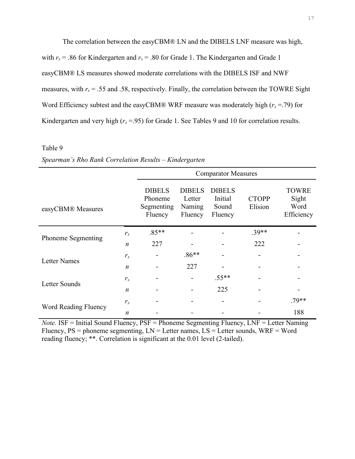The correlation between the easyCBM® LN and the DIBELS LNF measure was high, with  $r_s$  = .86 for Kindergarten and  $r_s$  = .80 for Grade 1. The Kindergarten and Grade 1 easyCBM® LS measures showed moderate correlations with the DIBELS ISF and NWF measures, with  $r_s$  = .55 and .58, respectively. Finally, the correlation between the TOWRE Sight Word Efficiency subtest and the easyCBM® WRF measure was moderately high  $(r_s = .79)$  for Kindergarten and very high ( $r_s$  =.95) for Grade 1. See Tables 9 and 10 for correlation results.

## Table 9

|                           |                  | <b>Comparator Measures</b>                        |                                              |                                              |                         |                                             |  |  |  |
|---------------------------|------------------|---------------------------------------------------|----------------------------------------------|----------------------------------------------|-------------------------|---------------------------------------------|--|--|--|
| easyCBM® Measures         |                  | <b>DIBELS</b><br>Phoneme<br>Segmenting<br>Fluency | <b>DIBELS</b><br>Letter<br>Naming<br>Fluency | <b>DIBELS</b><br>Initial<br>Sound<br>Fluency | <b>CTOPP</b><br>Elision | <b>TOWRE</b><br>Sight<br>Word<br>Efficiency |  |  |  |
| <b>Phoneme Segmenting</b> | $r_{s}$          | $.85**$                                           |                                              |                                              | $.39**$                 |                                             |  |  |  |
|                           | $\boldsymbol{n}$ | 227                                               |                                              |                                              | 222                     |                                             |  |  |  |
| <b>Letter Names</b>       | $r_{s}$          |                                                   | $.86**$                                      |                                              |                         |                                             |  |  |  |
|                           | $\boldsymbol{n}$ |                                                   | 227                                          |                                              |                         |                                             |  |  |  |
| Letter Sounds             | $r_{s}$          |                                                   |                                              | $.55**$                                      |                         |                                             |  |  |  |
|                           | $\boldsymbol{n}$ |                                                   |                                              | 225                                          |                         |                                             |  |  |  |
|                           | $r_{s}$          |                                                   |                                              |                                              |                         | $.79**$                                     |  |  |  |
| Word Reading Fluency      | $\boldsymbol{n}$ |                                                   |                                              |                                              |                         | 188                                         |  |  |  |

# *Spearman's Rho Rank Correlation Results – Kindergarten*

*Note.* **ISF** = Initial Sound Fluency, *PSF* = Phoneme Segmenting Fluency, *LNF* = Letter Naming Fluency,  $PS =$  phoneme segmenting,  $LN =$  Letter names,  $LS =$  Letter sounds,  $WRF =$  Word reading fluency; \*\*. Correlation is significant at the 0.01 level (2-tailed).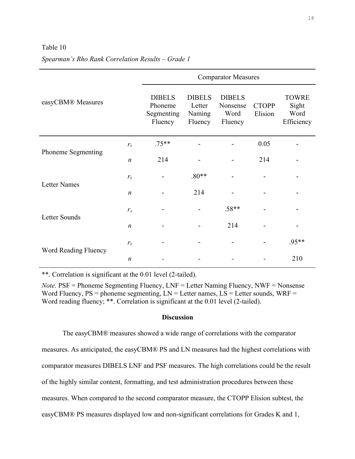### Table 10

|                      |                                                   |                                              |                                              | <b>Comparator Measures</b> |                                             |       |
|----------------------|---------------------------------------------------|----------------------------------------------|----------------------------------------------|----------------------------|---------------------------------------------|-------|
| easyCBM® Measures    | <b>DIBELS</b><br>Phoneme<br>Segmenting<br>Fluency | <b>DIBELS</b><br>Letter<br>Naming<br>Fluency | <b>DIBELS</b><br>Nonsense<br>Word<br>Fluency | <b>CTOPP</b><br>Elision    | <b>TOWRE</b><br>Sight<br>Word<br>Efficiency |       |
|                      | $r_{s}$                                           | $.75**$                                      |                                              |                            | 0.05                                        |       |
| Phoneme Segmenting   | $\boldsymbol{n}$                                  | 214                                          |                                              |                            | 214                                         |       |
| <b>Letter Names</b>  | $r_{s}$                                           |                                              | $.80**$                                      |                            |                                             |       |
|                      | $\boldsymbol{n}$                                  |                                              | 214                                          |                            |                                             |       |
| Letter Sounds        | $r_{s}$                                           |                                              |                                              | $.58**$                    |                                             |       |
|                      | $\boldsymbol{n}$                                  |                                              |                                              | 214                        |                                             |       |
|                      | $r_{s}$                                           |                                              |                                              |                            |                                             | .95** |
| Word Reading Fluency | $\boldsymbol{n}$                                  |                                              |                                              |                            |                                             | 210   |

# *Spearman's Rho Rank Correlation Results – Grade 1*

\*\*. Correlation is significant at the 0.01 level (2-tailed).

*Note.* PSF = Phoneme Segmenting Fluency, LNF = Letter Naming Fluency, NWF = Nonsense Word Fluency,  $PS =$  phoneme segmenting,  $LN =$  Letter names,  $LS =$  Letter sounds,  $WRF =$ Word reading fluency; \*\*. Correlation is significant at the 0.01 level (2-tailed).

# **Discussion**

The easyCBM® measures showed a wide range of correlations with the comparator measures. As anticipated, the easyCBM® PS and LN measures had the highest correlations with comparator measures DIBELS LNF and PSF measures. The high correlations could be the result of the highly similar content, formatting, and test administration procedures between these measures. When compared to the second comparator measure, the CTOPP Elision subtest, the easyCBM® PS measures displayed low and non-significant correlations for Grades K and 1,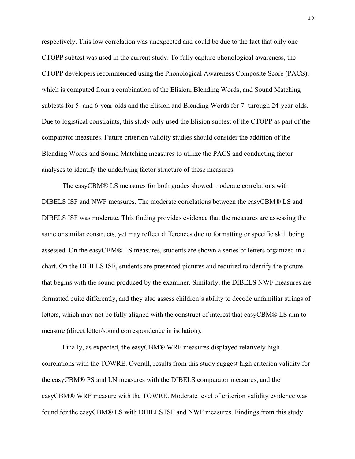respectively. This low correlation was unexpected and could be due to the fact that only one CTOPP subtest was used in the current study. To fully capture phonological awareness, the CTOPP developers recommended using the Phonological Awareness Composite Score (PACS), which is computed from a combination of the Elision, Blending Words, and Sound Matching subtests for 5- and 6-year-olds and the Elision and Blending Words for 7- through 24-year-olds. Due to logistical constraints, this study only used the Elision subtest of the CTOPP as part of the comparator measures. Future criterion validity studies should consider the addition of the Blending Words and Sound Matching measures to utilize the PACS and conducting factor analyses to identify the underlying factor structure of these measures.

The easyCBM® LS measures for both grades showed moderate correlations with DIBELS ISF and NWF measures. The moderate correlations between the easyCBM® LS and DIBELS ISF was moderate. This finding provides evidence that the measures are assessing the same or similar constructs, yet may reflect differences due to formatting or specific skill being assessed. On the easyCBM® LS measures, students are shown a series of letters organized in a chart. On the DIBELS ISF, students are presented pictures and required to identify the picture that begins with the sound produced by the examiner. Similarly, the DIBELS NWF measures are formatted quite differently, and they also assess children's ability to decode unfamiliar strings of letters, which may not be fully aligned with the construct of interest that easyCBM® LS aim to measure (direct letter/sound correspondence in isolation).

Finally, as expected, the easyCBM® WRF measures displayed relatively high correlations with the TOWRE. Overall, results from this study suggest high criterion validity for the easyCBM® PS and LN measures with the DIBELS comparator measures, and the easyCBM® WRF measure with the TOWRE. Moderate level of criterion validity evidence was found for the easyCBM® LS with DIBELS ISF and NWF measures. Findings from this study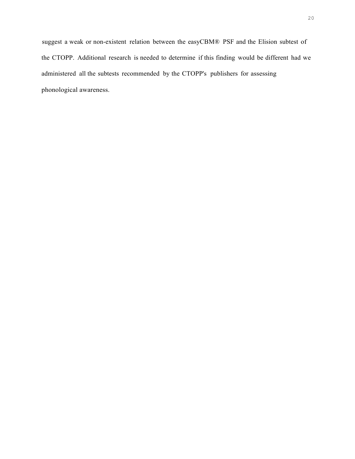suggest a weak or non-existent relation between the easyCBM® PSF and the Elision subtest of the CTOPP. Additional research is needed to determine if this finding would be different had we administered all the subtests recommended by the CTOPP's publishers for assessing phonological awareness.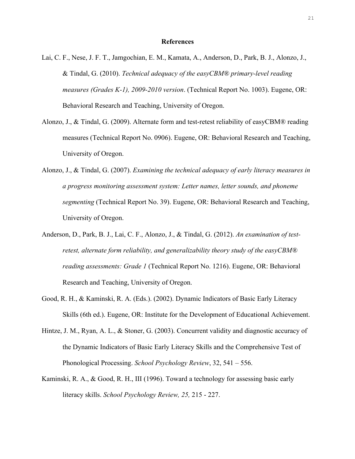### **References**

- Lai, C. F., Nese, J. F. T., Jamgochian, E. M., Kamata, A., Anderson, D., Park, B. J., Alonzo, J., & Tindal, G. (2010). *Technical adequacy of the easyCBM® primary-level reading measures (Grades K-1), 2009-2010 version*. (Technical Report No. 1003). Eugene, OR: Behavioral Research and Teaching, University of Oregon.
- Alonzo, J., & Tindal, G. (2009). Alternate form and test-retest reliability of easyCBM® reading measures (Technical Report No. 0906). Eugene, OR: Behavioral Research and Teaching, University of Oregon.
- Alonzo, J., & Tindal, G. (2007). *Examining the technical adequacy of early literacy measures in a progress monitoring assessment system: Letter names, letter sounds, and phoneme segmenting* (Technical Report No. 39). Eugene, OR: Behavioral Research and Teaching, University of Oregon.
- Anderson, D., Park, B. J., Lai, C. F., Alonzo, J., & Tindal, G. (2012). *An examination of testretest, alternate form reliability, and generalizability theory study of the easyCBM® reading assessments: Grade 1* (Technical Report No. 1216). Eugene, OR: Behavioral Research and Teaching, University of Oregon.
- Good, R. H., & Kaminski, R. A. (Eds.). (2002). Dynamic Indicators of Basic Early Literacy Skills (6th ed.). Eugene, OR: Institute for the Development of Educational Achievement.
- Hintze, J. M., Ryan, A. L., & Stoner, G. (2003). Concurrent validity and diagnostic accuracy of the Dynamic Indicators of Basic Early Literacy Skills and the Comprehensive Test of Phonological Processing. *School Psychology Review*, 32, 541 – 556.
- Kaminski, R. A., & Good, R. H., III (1996). Toward a technology for assessing basic early literacy skills. *School Psychology Review, 25,* 215 - 227.